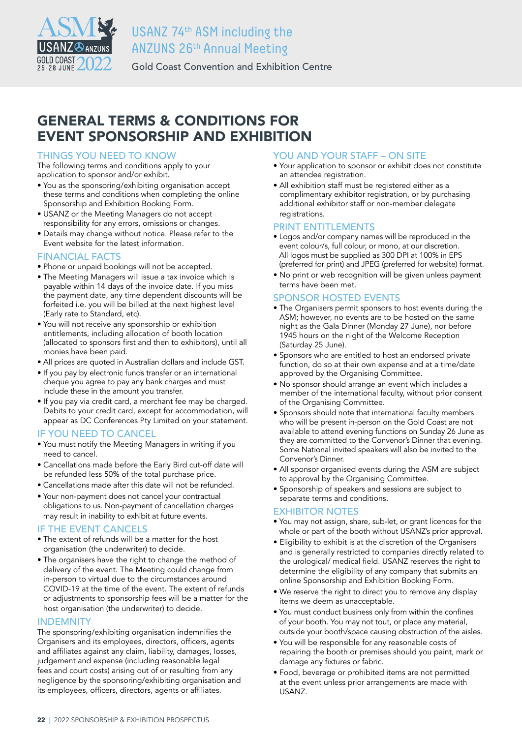

# USANZ 74th ASM including the ANZUNS 26th Annual Meeting

Gold Coast Convention and Exhibition Centre

# GENERAL TERMS & CONDITIONS FOR EVENT SPONSORSHIP AND EXHIBITION

## THINGS YOU NEED TO KNOW

The following terms and conditions apply to your application to sponsor and/or exhibit.

- You as the sponsoring/exhibiting organisation accept these terms and conditions when completing the online Sponsorship and Exhibition Booking Form.
- USANZ or the Meeting Managers do not accept responsibility for any errors, omissions or changes.
- Details may change without notice. Please refer to the Event website for the latest information.

## FINANCIAL FACTS

- Phone or unpaid bookings will not be accepted.
- The Meeting Managers will issue a tax invoice which is payable within 14 days of the invoice date. If you miss the payment date, any time dependent discounts will be forfeited i.e. you will be billed at the next highest level (Early rate to Standard, etc).
- You will not receive any sponsorship or exhibition entitlements, including allocation of booth location (allocated to sponsors first and then to exhibitors), until all monies have been paid.
- All prices are quoted in Australian dollars and include GST.
- If you pay by electronic funds transfer or an international cheque you agree to pay any bank charges and must include these in the amount you transfer.
- If you pay via credit card, a merchant fee may be charged. Debits to your credit card, except for accommodation, will appear as DC Conferences Pty Limited on your statement.

### IF YOU NEED TO CANCEL

- You must notify the Meeting Managers in writing if you need to cancel.
- Cancellations made before the Early Bird cut-off date will be refunded less 50% of the total purchase price.
- Cancellations made after this date will not be refunded.
- Your non-payment does not cancel your contractual obligations to us. Non-payment of cancellation charges may result in inability to exhibit at future events.

### IF THE EVENT CANCELS

- The extent of refunds will be a matter for the host organisation (the underwriter) to decide.
- The organisers have the right to change the method of delivery of the event. The Meeting could change from in-person to virtual due to the circumstances around COVID-19 at the time of the event. The extent of refunds or adjustments to sponsorship fees will be a matter for the host organisation (the underwriter) to decide.

### INDEMNITY

The sponsoring/exhibiting organisation indemnifies the Organisers and its employees, directors, officers, agents and affiliates against any claim, liability, damages, losses, judgement and expense (including reasonable legal fees and court costs) arising out of or resulting from any negligence by the sponsoring/exhibiting organisation and its employees, officers, directors, agents or affiliates.

### YOU AND YOUR STAFF - ON SITE

- Your application to sponsor or exhibit does not constitute an attendee registration.
- All exhibition staff must be registered either as a complimentary exhibitor registration, or by purchasing additional exhibitor staff or non-member delegate registrations.

### PRINT ENTITLEMENTS

- Logos and/or company names will be reproduced in the event colour/s, full colour, or mono, at our discretion. All logos must be supplied as 300 DPI at 100% in EPS (preferred for print) and JPEG (preferred for website) format.
- No print or web recognition will be given unless payment terms have been met.

## SPONSOR HOSTED EVENTS

- The Organisers permit sponsors to host events during the ASM; however, no events are to be hosted on the same night as the Gala Dinner (Monday 27 June), nor before 1945 hours on the night of the Welcome Reception (Saturday 25 June).
- Sponsors who are entitled to host an endorsed private function, do so at their own expense and at a time/date approved by the Organising Committee.
- No sponsor should arrange an event which includes a member of the international faculty, without prior consent of the Organising Committee.
- Sponsors should note that international faculty members who will be present in-person on the Gold Coast are not available to attend evening functions on Sunday 26 June as they are committed to the Convenor's Dinner that evening. Some National invited speakers will also be invited to the Convenor's Dinner.
- All sponsor organised events during the ASM are subject to approval by the Organising Committee.
- Sponsorship of speakers and sessions are subject to separate terms and conditions.

### EXHIBITOR NOTES

- You may not assign, share, sub-let, or grant licences for the whole or part of the booth without USANZ's prior approval.
- Eligibility to exhibit is at the discretion of the Organisers and is generally restricted to companies directly related to the urological/ medical field. USANZ reserves the right to determine the eligibility of any company that submits an online Sponsorship and Exhibition Booking Form.
- We reserve the right to direct you to remove any display items we deem as unacceptable.
- You must conduct business only from within the confines of your booth. You may not tout, or place any material, outside your booth/space causing obstruction of the aisles.
- You will be responsible for any reasonable costs of repairing the booth or premises should you paint, mark or damage any fixtures or fabric.
- Food, beverage or prohibited items are not permitted at the event unless prior arrangements are made with USANZ.